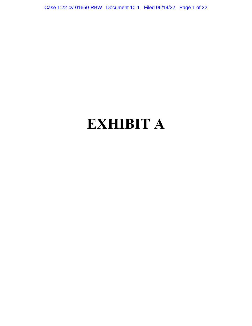Case 1:22-cv-01650-RBW Document 10-1 Filed 06/14/22 Page 1 of 22

# **EXHIBIT A**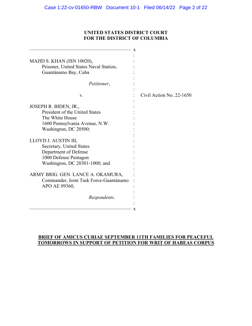## **UNITED STATES DISTRICT COURT FOR THE DISTRICT OF COLUMBIA**

|                                                                      | x                          |
|----------------------------------------------------------------------|----------------------------|
| MAJID S. KHAN (ISN 10020),<br>Prisoner, United States Naval Station, |                            |
|                                                                      |                            |
| Guantánamo Bay, Cuba                                                 |                            |
| Petitioner,                                                          |                            |
| V.                                                                   | Civil Action No. $22-1650$ |
| JOSEPH R. BIDEN, JR.,                                                |                            |
| President of the United States                                       |                            |
| The White House                                                      |                            |
| 1600 Pennsylvania Avenue, N.W.                                       |                            |
| Washington, DC 20500;                                                |                            |
|                                                                      |                            |
| LLOYD J. AUSTIN III,                                                 |                            |
| Secretary, United States                                             |                            |
| Department of Defense                                                |                            |
| 1000 Defense Pentagon                                                |                            |
| Washington, DC 20301-1000; and                                       |                            |
|                                                                      |                            |
| ARMY BRIG. GEN. LANCE A. OKAMURA,                                    |                            |
| Commander, Joint Task Force-Guantánamo                               |                            |
| APO AE 09360,                                                        |                            |
|                                                                      |                            |
| Respondents.                                                         |                            |
|                                                                      |                            |
|                                                                      | x                          |

## **BRIEF OF AMICUS CURIAE SEPTEMBER 11TH FAMILIES FOR PEACEFUL TOMORROWS IN SUPPORT OF PETITION FOR WRIT OF HABEAS CORPUS**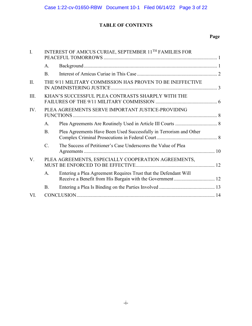# **TABLE OF CONTENTS**

# **Page**

| I.   | INTEREST OF AMICUS CURIAE, SEPTEMBER 11 <sup>TH</sup> FAMILIES FOR |                                                                    |  |
|------|--------------------------------------------------------------------|--------------------------------------------------------------------|--|
|      | A.                                                                 |                                                                    |  |
|      | B.                                                                 |                                                                    |  |
| II.  |                                                                    | THE 9/11 MILITARY COMMISSION HAS PROVEN TO BE INEFFECTIVE          |  |
| III. |                                                                    | KHAN'S SUCCESSFUL PLEA CONTRASTS SHARPLY WITH THE                  |  |
| IV.  |                                                                    | PLEA AGREEMENTS SERVE IMPORTANT JUSTICE-PROVIDING                  |  |
|      | A.                                                                 |                                                                    |  |
|      | <b>B.</b>                                                          | Plea Agreements Have Been Used Successfully in Terrorism and Other |  |
|      | $\mathcal{C}$ .                                                    | The Success of Petitioner's Case Underscores the Value of Plea     |  |
| V.   |                                                                    | PLEA AGREEMENTS, ESPECIALLY COOPERATION AGREEMENTS,                |  |
|      | A.                                                                 | Entering a Plea Agreement Requires Trust that the Defendant Will   |  |
|      | <b>B.</b>                                                          |                                                                    |  |
| VI.  |                                                                    |                                                                    |  |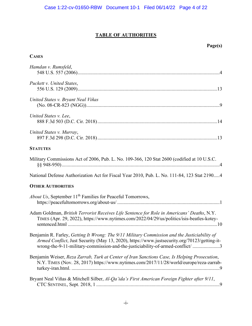# **TABLE OF AUTHORITIES**

# **Page(s)**

## **CASES**

| Hamdan v. Rumsfeld,                                                                                                                                                                                                                                                           |
|-------------------------------------------------------------------------------------------------------------------------------------------------------------------------------------------------------------------------------------------------------------------------------|
| Puckett v. United States,                                                                                                                                                                                                                                                     |
| United States v. Bryant Neal Viñas                                                                                                                                                                                                                                            |
| United States v. Lee,                                                                                                                                                                                                                                                         |
| United States v. Murray,                                                                                                                                                                                                                                                      |
| <b>STATUTES</b>                                                                                                                                                                                                                                                               |
| Military Commissions Act of 2006, Pub. L. No. 109-366, 120 Stat 2600 (codified at 10 U.S.C.                                                                                                                                                                                   |
| National Defense Authorization Act for Fiscal Year 2010, Pub. L. No. 111-84, 123 Stat 21904                                                                                                                                                                                   |
| <b>OTHER AUTHORITIES</b>                                                                                                                                                                                                                                                      |
| <i>About Us</i> , September 11 <sup>th</sup> Families for Peaceful Tomorrows,                                                                                                                                                                                                 |
| Adam Goldman, British Terrorist Receives Life Sentence for Role in Americans' Deaths, N.Y.<br>TIMES (Apr. 29, 2022), https://www.nytimes.com/2022/04/29/us/politics/isis-beatles-kotey-                                                                                       |
| Benjamin R. Farley, Getting It Wrong: The 9/11 Military Commission and the Justiciability of<br>Armed Conflict, Just Security (May 13, 2020), https://www.justsecurity.org/70123/getting-it-<br>wrong-the-9-11-military-commission-and-the-justiciability-of-armed-conflict/3 |
| Benjamin Weiser, Reza Zarrab, Turk at Center of Iran Sanctions Case, Is Helping Prosecution,<br>N.Y. TIMES (Nov. 28, 2017) https://www.nytimes.com/2017/11/28/world/europe/reza-zarrab-                                                                                       |
| Bryant Neal Viñas & Mitchell Silber, Al-Qa'ida's First American Foreign Fighter after 9/11,                                                                                                                                                                                   |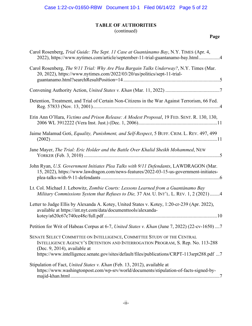# **TABLE OF AUTHORITIES**

(continued)

**Page**

| Carol Rosenberg, Trial Guide: The Sept. 11 Case at Guantánamo Bay, N.Y. TIMES (Apr. 4,<br>2022), https://www.nytimes.com/article/september-11-trial-guantanamo-bay.html4                                                                                                                |
|-----------------------------------------------------------------------------------------------------------------------------------------------------------------------------------------------------------------------------------------------------------------------------------------|
| Carol Rosenberg, The 9/11 Trial: Why Are Plea Bargain Talks Underway?, N.Y. Times (Mar.<br>20, 2022), https://www.nytimes.com/2022/03/20/us/politics/sept-11-trial-                                                                                                                     |
|                                                                                                                                                                                                                                                                                         |
| Detention, Treatment, and Trial of Certain Non-Citizens in the War Against Terrorism, 66 Fed.                                                                                                                                                                                           |
| Erin Ann O'Hara, Victims and Prison Release: A Modest Proposal, 19 FED. SENT. R. 130, 130,                                                                                                                                                                                              |
| Jaime Malamud Goti, Equality, Punishment, and Self-Respect, 5 BUFF. CRIM. L. REV. 497, 499                                                                                                                                                                                              |
| Jane Mayer, The Trial: Eric Holder and the Battle Over Khalid Sheikh Mohammed, NEW                                                                                                                                                                                                      |
| John Ryan, U.S. Government Initiates Plea Talks with 9/11 Defendants, LAWDRAGON (Mar.<br>15, 2022), https://www.lawdragon.com/news-features/2022-03-15-us-government-initiates-                                                                                                         |
| Lt. Col. Michael J. Lebowitz, Zombie Courts: Lessons Learned from a Guantánamo Bay<br>Military Commissions System that Refuses to Die, 37 AM. U. INT'L. L. REV. 1, 2 (2021) 4                                                                                                           |
| Letter to Judge Ellis by Alexanda A. Kotey, United States v. Kotey, 1:20-cr-239 (Apr. 2022),<br>available at https://int.nyt.com/data/documenttools/alexanda-                                                                                                                           |
| Petition for Writ of Habeas Corpus at 6-7, United States v. Khan (June 7, 2022) (22-cv-1650)  7                                                                                                                                                                                         |
| SENATE SELECT COMMITTEE ON INTELLIGENCE, COMMITTEE STUDY OF THE CENTRAL<br>INTELLIGENCE AGENCY'S DETENTION AND INTERROGATION PROGRAM, S. Rep. No. 113-288<br>(Dec. 9, 2014), available at<br>https://www.intelligence.senate.gov/sites/default/files/publications/CRPT-113srpt288.pdf 7 |
| Stipulation of Fact, United States v. Khan (Feb. 13, 2012), available at<br>https://www.washingtonpost.com/wp-srv/world/documents/stipulation-of-facts-signed-by-                                                                                                                       |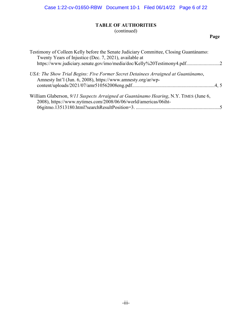# **TABLE OF AUTHORITIES**

(continued)

# **Page**

| Testimony of Colleen Kelly before the Senate Judiciary Committee, Closing Guantánamo:<br>https://www.judiciary.senate.gov/imo/media/doc/Kelly%20Testimony4.pdf2 |
|-----------------------------------------------------------------------------------------------------------------------------------------------------------------|
| USA: The Show Trial Begins: Five Former Secret Detainees Arraigned at Guantánamo,                                                                               |
| William Glaberson, 9/11 Suspects Arraigned at Guantánamo Hearing, N.Y. TIMES (June 6,                                                                           |
|                                                                                                                                                                 |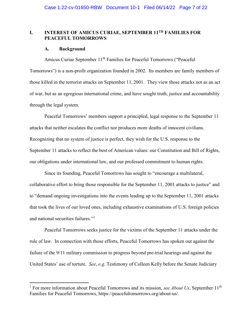## **I. INTEREST OF AMICUS CURIAE, SEPTEMBER 11TH FAMILIES FOR PEACEFUL TOMORROWS**

#### **A. Background**

Amicus Curiae September 11<sup>th</sup> Families for Peaceful Tomorrows ("Peaceful Tomorrows") is a non-profit organization founded in 2002. Its members are family members of those killed in the terrorist attacks on September 11, 2001. They view those attacks not as an act of war, but as an egregious international crime, and have sought truth, justice and accountability through the legal system.

Peaceful Tomorrows' members support a principled, legal response to the September 11 attacks that neither escalates the conflict nor produces more deaths of innocent civilians. Recognizing that no system of justice is perfect, they wish for the U.S. response to the September 11 attacks to reflect the best of American values: our Constitution and Bill of Rights, our obligations under international law, and our professed commitment to human rights.

Since its founding, Peaceful Tomorrows has sought to "encourage a multilateral, collaborative effort to bring those responsible for the September 11, 2001 attacks to justice" and to "demand ongoing investigations into the events leading up to the September 11, 2001 attacks that took the lives of our loved ones, including exhaustive examinations of U.S. foreign policies and national securities failures."<sup>1</sup>

Peaceful Tomorrows seeks justice for the victims of the September 11 attacks under the rule of law. In connection with those efforts, Peaceful Tomorrows has spoken out against the failure of the 9/11 military commission to progress beyond pre-trial hearings and against the United States' use of torture. *See*, *e.g.* Testimony of Colleen Kelly before the Senate Judiciary

<sup>&</sup>lt;sup>1</sup> For more information about Peaceful Tomorrows and its mission, *see About Us*, September 11<sup>th</sup> Families for Peaceful Tomorrows, https://peacefultomorrows.org/about-us/.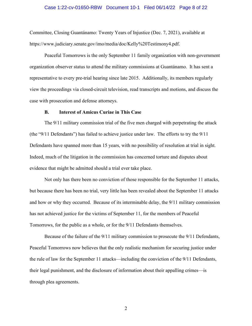#### Case 1:22-cv-01650-RBW Document 10-1 Filed 06/14/22 Page 8 of 22

Committee, Closing Guantánamo: Twenty Years of Injustice (Dec. 7, 2021), available at https://www.judiciary.senate.gov/imo/media/doc/Kelly%20Testimony4.pdf.

Peaceful Tomorrows is the only September 11 family organization with non-government organization observer status to attend the military commissions at Guantánamo. It has sent a representative to every pre-trial hearing since late 2015. Additionally, its members regularly view the proceedings via closed-circuit television, read transcripts and motions, and discuss the case with prosecution and defense attorneys.

#### **B. Interest of Amicus Curiae in This Case**

The 9/11 military commission trial of the five men charged with perpetrating the attack (the "9/11 Defendants") has failed to achieve justice under law. The efforts to try the 9/11 Defendants have spanned more than 15 years, with no possibility of resolution at trial in sight. Indeed, much of the litigation in the commission has concerned torture and disputes about evidence that might be admitted should a trial ever take place.

Not only has there been no conviction of those responsible for the September 11 attacks, but because there has been no trial, very little has been revealed about the September 11 attacks and how or why they occurred. Because of its interminable delay, the 9/11 military commission has not achieved justice for the victims of September 11, for the members of Peaceful Tomorrows, for the public as a whole, or for the 9/11 Defendants themselves.

Because of the failure of the 9/11 military commission to prosecute the 9/11 Defendants, Peaceful Tomorrows now believes that the only realistic mechanism for securing justice under the rule of law for the September 11 attacks—including the conviction of the 9/11 Defendants, their legal punishment, and the disclosure of information about their appalling crimes—is through plea agreements.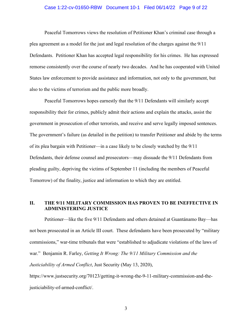#### Case 1:22-cv-01650-RBW Document 10-1 Filed 06/14/22 Page 9 of 22

Peaceful Tomorrows views the resolution of Petitioner Khan's criminal case through a plea agreement as a model for the just and legal resolution of the charges against the 9/11 Defendants. Petitioner Khan has accepted legal responsibility for his crimes. He has expressed remorse consistently over the course of nearly two decades. And he has cooperated with United States law enforcement to provide assistance and information, not only to the government, but also to the victims of terrorism and the public more broadly.

Peaceful Tomorrows hopes earnestly that the 9/11 Defendants will similarly accept responsibility their for crimes, publicly admit their actions and explain the attacks, assist the government in prosecution of other terrorists, and receive and serve legally imposed sentences. The government's failure (as detailed in the petition) to transfer Petitioner and abide by the terms of its plea bargain with Petitioner—in a case likely to be closely watched by the 9/11 Defendants, their defense counsel and prosecutors—may dissuade the 9/11 Defendants from pleading guilty, depriving the victims of September 11 (including the members of Peaceful Tomorrow) of the finality, justice and information to which they are entitled.

## **II. THE 9/11 MILITARY COMMISSION HAS PROVEN TO BE INEFFECTIVE IN ADMINISTERING JUSTICE**

Petitioner—like the five 9/11 Defendants and others detained at Guantánamo Bay—has not been prosecuted in an Article III court. These defendants have been prosecuted by "military commissions," war-time tribunals that were "established to adjudicate violations of the laws of war." Benjamin R. Farley, *Getting It Wrong: The 9/11 Military Commission and the Justiciability of Armed Conflict*, Just Security (May 13, 2020),

https://www.justsecurity.org/70123/getting-it-wrong-the-9-11-military-commission-and-thejusticiability-of-armed-conflict/.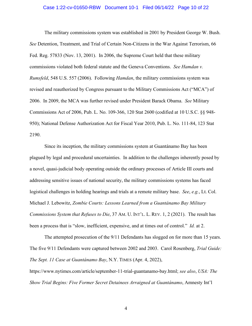#### Case 1:22-cv-01650-RBW Document 10-1 Filed 06/14/22 Page 10 of 22

The military commissions system was established in 2001 by President George W. Bush. *See* Detention, Treatment, and Trial of Certain Non-Citizens in the War Against Terrorism, 66 Fed. Reg. 57833 (Nov. 13, 2001). In 2006, the Supreme Court held that these military commissions violated both federal statute and the Geneva Conventions. *See Hamdan v. Rumsfeld*, 548 U.S. 557 (2006). Following *Hamdan*, the military commissions system was revised and reauthorized by Congress pursuant to the Military Commissions Act ("MCA") of 2006. In 2009, the MCA was further revised under President Barack Obama. *See* Military Commissions Act of 2006, Pub. L. No. 109-366, 120 Stat 2600 (codified at 10 U.S.C. §§ 948- 950); National Defense Authorization Act for Fiscal Year 2010, Pub. L. No. 111-84, 123 Stat 2190.

Since its inception, the military commissions system at Guantánamo Bay has been plagued by legal and procedural uncertainties. In addition to the challenges inherently posed by a novel, quasi-judicial body operating outside the ordinary processes of Article III courts and addressing sensitive issues of national security, the military commissions systems has faced logistical challenges in holding hearings and trials at a remote military base. *See*, *e.g.*, Lt. Col. Michael J. Lebowitz, *Zombie Courts: Lessons Learned from a Guantánamo Bay Military Commissions System that Refuses to Die*, 37 AM. U. INT'L. L. REV. 1, 2 (2021). The result has been a process that is "slow, inefficient, expensive, and at times out of control." *Id.* at 2.

The attempted prosecution of the 9/11 Defendants has slogged on for more than 15 years. The five 9/11 Defendants were captured between 2002 and 2003. Carol Rosenberg, *Trial Guide: The Sept. 11 Case at Guantánamo Bay*, N.Y. TIMES (Apr. 4, 2022),

https://www.nytimes.com/article/september-11-trial-guantanamo-bay.html; *see also*, *USA: The Show Trial Begins: Five Former Secret Detainees Arraigned at Guantánamo*, Amnesty Int'l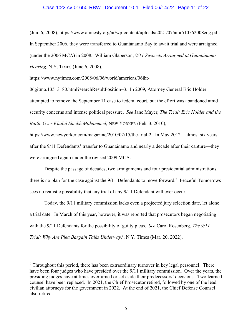#### Case 1:22-cv-01650-RBW Document 10-1 Filed 06/14/22 Page 11 of 22

(Jun. 6, 2008), https://www.amnesty.org/ar/wp-content/uploads/2021/07/amr510562008eng.pdf. In September 2006, they were transferred to Guantánamo Bay to await trial and were arraigned (under the 2006 MCA) in 2008. William Glaberson, *9/11 Suspects Arraigned at Guantánamo Hearing*, N.Y. TIMES (June 6, 2008),

https://www.nytimes.com/2008/06/06/world/americas/06iht-

06gitmo.13513180.html?searchResultPosition=3. In 2009, Attorney General Eric Holder attempted to remove the September 11 case to federal court, but the effort was abandoned amid security concerns and intense political pressure. *See* Jane Mayer, *The Trial: Eric Holder and the Battle Over Khalid Sheikh Mohammed*, NEW YORKER (Feb. 3, 2010),

https://www.newyorker.com/magazine/2010/02/15/the-trial-2. In May 2012—almost six years after the 9/11 Defendants' transfer to Guantánamo and nearly a decade after their capture—they were arraigned again under the revised 2009 MCA.

Despite the passage of decades, two arraignments and four presidential administrations, there is no plan for the case against the  $9/11$  Defendants to move forward.<sup>2</sup> Peaceful Tomorrows sees no realistic possibility that any trial of any 9/11 Defendant will ever occur.

Today, the 9/11 military commission lacks even a projected jury selection date, let alone a trial date. In March of this year, however, it was reported that prosecutors began negotiating with the 9/11 Defendants for the possibility of guilty pleas. *See* Carol Rosenberg, *The 9/11 Trial: Why Are Plea Bargain Talks Underway?*, N.Y. Times (Mar. 20, 2022),

 $2$  Throughout this period, there has been extraordinary turnover in key legal personnel. There have been four judges who have presided over the 9/11 military commission. Over the years, the presiding judges have at times overturned or set aside their predecessors' decisions. Two learned counsel have been replaced. In 2021, the Chief Prosecutor retired, followed by one of the lead civilian attorneys for the government in 2022. At the end of 2021, the Chief Defense Counsel also retired.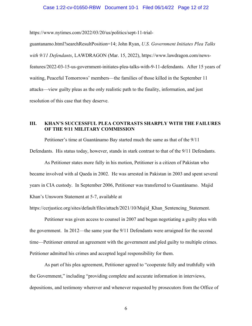#### Case 1:22-cv-01650-RBW Document 10-1 Filed 06/14/22 Page 12 of 22

https://www.nytimes.com/2022/03/20/us/politics/sept-11-trial-

guantanamo.html?searchResultPosition=14; John Ryan, *U.S. Government Initiates Plea Talks with 9/11 Defendants*, LAWDRAGON (Mar. 15, 2022), https://www.lawdragon.com/newsfeatures/2022-03-15-us-government-initiates-plea-talks-with-9-11-defendants. After 15 years of waiting, Peaceful Tomorrows' members—the families of those killed in the September 11 attacks—view guilty pleas as the only realistic path to the finality, information, and just resolution of this case that they deserve.

## **III. KHAN'S SUCCESSFUL PLEA CONTRASTS SHARPLY WITH THE FAILURES OF THE 9/11 MILITARY COMMISSION**

Petitioner's time at Guantánamo Bay started much the same as that of the 9/11 Defendants. His status today, however, stands in stark contrast to that of the 9/11 Defendants.

As Petitioner states more fully in his motion, Petitioner is a citizen of Pakistan who became involved with al Qaeda in 2002. He was arrested in Pakistan in 2003 and spent several years in CIA custody. In September 2006, Petitioner was transferred to Guantánamo. Majid Khan's Unsworn Statement at 5-7, available at

https://ccrjustice.org/sites/default/files/attach/2021/10/Majid Khan Sentencing Statement.

Petitioner was given access to counsel in 2007 and began negotiating a guilty plea with the government. In 2012—the same year the 9/11 Defendants were arraigned for the second time—Petitioner entered an agreement with the government and pled guilty to multiple crimes. Petitioner admitted his crimes and accepted legal responsibility for them.

As part of his plea agreement, Petitioner agreed to "cooperate fully and truthfully with the Government," including "providing complete and accurate information in interviews, depositions, and testimony wherever and whenever requested by prosecutors from the Office of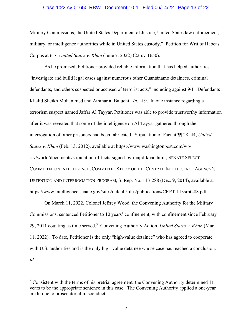#### Case 1:22-cv-01650-RBW Document 10-1 Filed 06/14/22 Page 13 of 22

Military Commissions, the United States Department of Justice, United States law enforcement, military, or intelligence authorities while in United States custody." Petition for Writ of Habeas Corpus at 6-7, *United States v. Khan* (June 7, 2022) (22-cv-1650).

As he promised, Petitioner provided reliable information that has helped authorities "investigate and build legal cases against numerous other Guantánamo detainees, criminal defendants, and others suspected or accused of terrorist acts," including against 9/11 Defendants Khalid Sheikh Mohammed and Ammar al Baluchi. *Id.* at 9. In one instance regarding a terrorism suspect named Jaffar Al Tayyar, Petitioner was able to provide trustworthy information after it was revealed that some of the intelligence on Al Tayyar gathered through the interrogation of other prisoners had been fabricated. Stipulation of Fact at ¶¶ 28, 44, *United States v. Khan* (Feb. 13, 2012), available at https://www.washingtonpost.com/wpsrv/world/documents/stipulation-of-facts-signed-by-majid-khan.html; SENATE SELECT COMMITTEE ON INTELLIGENCE, COMMITTEE STUDY OF THE CENTRAL INTELLIGENCE AGENCY'S DETENTION AND INTERROGATION PROGRAM, S. Rep. No. 113-288 (Dec. 9, 2014), available at https://www.intelligence.senate.gov/sites/default/files/publications/CRPT-113srpt288.pdf.

On March 11, 2022, Colonel Jeffrey Wood, the Convening Authority for the Military Commissions, sentenced Petitioner to 10 years' confinement, with confinement since February 29, 2011 counting as time served.<sup>3</sup> Convening Authority Action, *United States v. Khan* (Mar. 11, 2022). To date, Petitioner is the only "high-value detainee" who has agreed to cooperate with U.S. authorities and is the only high-value detainee whose case has reached a conclusion. *Id*.

 $3$  Consistent with the terms of his pretrial agreement, the Convening Authority determined 11 years to be the appropriate sentence in this case. The Convening Authority applied a one-year credit due to prosecutorial misconduct.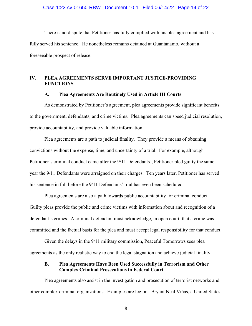There is no dispute that Petitioner has fully complied with his plea agreement and has fully served his sentence. He nonetheless remains detained at Guantánamo, without a foreseeable prospect of release.

## **IV. PLEA AGREEMENTS SERVE IMPORTANT JUSTICE-PROVIDING FUNCTIONS**

#### **A. Plea Agreements Are Routinely Used in Article III Courts**

As demonstrated by Petitioner's agreement, plea agreements provide significant benefits to the government, defendants, and crime victims. Plea agreements can speed judicial resolution, provide accountability, and provide valuable information.

Plea agreements are a path to judicial finality. They provide a means of obtaining convictions without the expense, time, and uncertainty of a trial. For example, although Petitioner's criminal conduct came after the 9/11 Defendants', Petitioner pled guilty the same year the 9/11 Defendants were arraigned on their charges. Ten years later, Petitioner has served his sentence in full before the 9/11 Defendants' trial has even been scheduled.

Plea agreements are also a path towards public accountability for criminal conduct. Guilty pleas provide the public and crime victims with information about and recognition of a defendant's crimes. A criminal defendant must acknowledge, in open court, that a crime was committed and the factual basis for the plea and must accept legal responsibility for that conduct.

Given the delays in the 9/11 military commission, Peaceful Tomorrows sees plea agreements as the only realistic way to end the legal stagnation and achieve judicial finality.

## **B. Plea Agreements Have Been Used Successfully in Terrorism and Other Complex Criminal Prosecutions in Federal Court**

Plea agreements also assist in the investigation and prosecution of terrorist networks and other complex criminal organizations. Examples are legion. Bryant Neal Viñas, a United States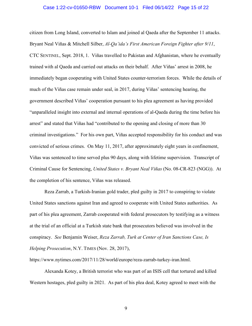#### Case 1:22-cv-01650-RBW Document 10-1 Filed 06/14/22 Page 15 of 22

citizen from Long Island, converted to Islam and joined al Qaeda after the September 11 attacks. Bryant Neal Viñas & Mitchell Silber, *Al-Qa'ida's First American Foreign Fighter after 9/11*, CTC SENTINEL, Sept. 2018, 1. Viñas travelled to Pakistan and Afghanistan, where he eventually trained with al Qaeda and carried out attacks on their behalf. After Viñas' arrest in 2008, he immediately began cooperating with United States counter-terrorism forces. While the details of much of the Viñas case remain under seal, in 2017, during Viñas' sentencing hearing, the government described Viñas' cooperation pursuant to his plea agreement as having provided "unparalleled insight into external and internal operations of al-Qaeda during the time before his arrest" and stated that Viñas had "contributed to the opening and closing of more than 30 criminal investigations." For his own part, Viñas accepted responsibility for his conduct and was convicted of serious crimes. On May 11, 2017, after approximately eight years in confinement, Viñas was sentenced to time served plus 90 days, along with lifetime supervision. Transcript of Criminal Cause for Sentencing, *United States v. Bryant Neal Viñas* (No. 08-CR-823 (NGG)). At the completion of his sentence, Viñas was released.

Reza Zarrab, a Turkish-Iranian gold trader, pled guilty in 2017 to conspiring to violate United States sanctions against Iran and agreed to cooperate with United States authorities. As part of his plea agreement, Zarrab cooperated with federal prosecutors by testifying as a witness at the trial of an official at a Turkish state bank that prosecutors believed was involved in the conspiracy. *See* Benjamin Weiser, *Reza Zarrab, Turk at Center of Iran Sanctions Case, Is Helping Prosecution*, N.Y. TIMES (Nov. 28, 2017),

https://www.nytimes.com/2017/11/28/world/europe/reza-zarrab-turkey-iran.html.

Alexanda Kotey, a British terrorist who was part of an ISIS cell that tortured and killed Western hostages, pled guilty in 2021. As part of his plea deal, Kotey agreed to meet with the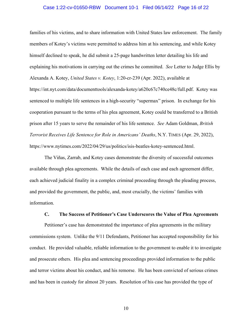#### Case 1:22-cv-01650-RBW Document 10-1 Filed 06/14/22 Page 16 of 22

families of his victims, and to share information with United States law enforcement. The family members of Kotey's victims were permitted to address him at his sentencing, and while Kotey himself declined to speak, he did submit a 25-page handwritten letter detailing his life and explaining his motivations in carrying out the crimes he committed. *See* Letter to Judge Ellis by Alexanda A. Kotey, *United States v. Kotey*, 1:20-cr-239 (Apr. 2022), available at https://int.nyt.com/data/documenttools/alexanda-kotey/a620c67c740ce48c/full.pdf. Kotey was sentenced to multiple life sentences in a high-security "supermax" prison. In exchange for his cooperation pursuant to the terms of his plea agreement, Kotey could be transferred to a British prison after 15 years to serve the remainder of his life sentence. *See* Adam Goldman, *British Terrorist Receives Life Sentence for Role in Americans' Deaths*, N.Y. TIMES (Apr. 29, 2022), https://www.nytimes.com/2022/04/29/us/politics/isis-beatles-kotey-sentenced.html.

The Viñas, Zarrab, and Kotey cases demonstrate the diversity of successful outcomes available through plea agreements. While the details of each case and each agreement differ, each achieved judicial finality in a complex criminal proceeding through the pleading process, and provided the government, the public, and, most crucially, the victims' families with information.

#### **C. The Success of Petitioner's Case Underscores the Value of Plea Agreements**

Petitioner's case has demonstrated the importance of plea agreements in the military commissions system. Unlike the 9/11 Defendants, Petitioner has accepted responsibility for his conduct. He provided valuable, reliable information to the government to enable it to investigate and prosecute others. His plea and sentencing proceedings provided information to the public and terror victims about his conduct, and his remorse. He has been convicted of serious crimes and has been in custody for almost 20 years. Resolution of his case has provided the type of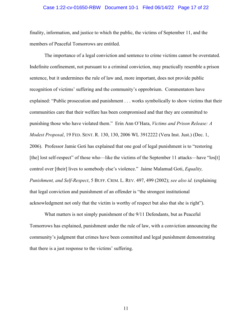#### Case 1:22-cv-01650-RBW Document 10-1 Filed 06/14/22 Page 17 of 22

finality, information, and justice to which the public, the victims of September 11, and the members of Peaceful Tomorrows are entitled.

The importance of a legal conviction and sentence to crime victims cannot be overstated. Indefinite confinement, not pursuant to a criminal conviction, may practically resemble a prison sentence, but it undermines the rule of law and, more important, does not provide public recognition of victims' suffering and the community's opprobrium. Commentators have explained: "Public prosecution and punishment . . . works symbolically to show victims that their communities care that their welfare has been compromised and that they are committed to punishing those who have violated them." Erin Ann O'Hara, *Victims and Prison Release: A Modest Proposal*, 19 FED. SENT. R. 130, 130, 2006 WL 3912222 (Vera Inst. Just.) (Dec. 1, 2006). Professor Jamie Goti has explained that one goal of legal punishment is to "restoring [the] lost self-respect" of those who—like the victims of the September 11 attacks—have "los[t] control over [their] lives to somebody else's violence." Jaime Malamud Goti, *Equality, Punishment, and Self-Respect*, 5 BUFF. CRIM. L. REV. 497, 499 (2002); *see also id.* (explaining that legal conviction and punishment of an offender is "the strongest institutional acknowledgment not only that the victim is worthy of respect but also that she is right").

What matters is not simply punishment of the 9/11 Defendants, but as Peaceful Tomorrows has explained, punishment under the rule of law, with a conviction announcing the community's judgment that crimes have been committed and legal punishment demonstrating that there is a just response to the victims' suffering.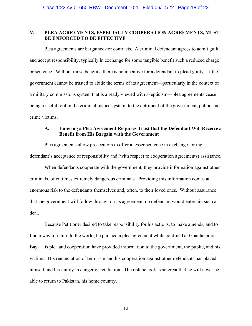## **V. PLEA AGREEMENTS, ESPECIALLY COOPERATION AGREEMENTS, MUST BE ENFORCED TO BE EFFECTIVE**

Plea agreements are bargained-for contracts. A criminal defendant agrees to admit guilt and accept responsibility, typically in exchange for some tangible benefit such a reduced charge or sentence. Without those benefits, there is no incentive for a defendant to plead guilty. If the government cannot be trusted to abide the terms of its agreement—particularly in the context of a military commissions system that is already viewed with skepticism—plea agreements cease being a useful tool in the criminal justice system, to the detriment of the government, public and crime victims.

## **A. Entering a Plea Agreement Requires Trust that the Defendant Will Receive a Benefit from His Bargain with the Government**

Plea agreements allow prosecutors to offer a lesser sentence in exchange for the defendant's acceptance of responsibility and (with respect to cooperation agreements) assistance.

When defendants cooperate with the government, they provide information against other criminals, often times extremely dangerous criminals. Providing this information comes at enormous risk to the defendants themselves and, often, to their loved ones. Without assurance that the government will follow through on its agreement, no defendant would entertain such a deal.

Because Petitioner desired to take responsibility for his actions, to make amends, and to find a way to return to the world, he pursued a plea agreement while confined at Guantánamo Bay. His plea and cooperation have provided information to the government, the public, and his victims. His renunciation of terrorism and his cooperation against other defendants has placed himself and his family in danger of retaliation. The risk he took is so great that he will never be able to return to Pakistan, his home country.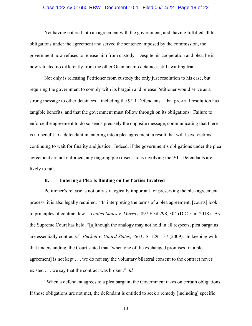#### Case 1:22-cv-01650-RBW Document 10-1 Filed 06/14/22 Page 19 of 22

Yet having entered into an agreement with the government, and, having fulfilled all his obligations under the agreement and served the sentence imposed by the commission, the government now refuses to release him from custody. Despite his cooperation and plea, he is now situated no differently from the other Guantánamo detainees still awaiting trial.

Not only is releasing Petitioner from custody the only just resolution to his case, but requiring the government to comply with its bargain and release Petitioner would serve as a strong message to other detainees—including the 9/11 Defendants—that pre-trial resolution has tangible benefits, and that the government must follow through on its obligations. Failure to enforce the agreement to do so sends precisely the opposite message, communicating that there is no benefit to a defendant in entering into a plea agreement, a result that will leave victims continuing to wait for finality and justice. Indeed, if the government's obligations under the plea agreement are not enforced, any ongoing plea discussions involving the 9/11 Defendants are likely to fail.

#### **B. Entering a Plea Is Binding on the Parties Involved**

Petitioner's release is not only strategically important for preserving the plea agreement process, it is also legally required. "In interpreting the terms of a plea agreement, [courts] look to principles of contract law." *United States v. Murray*, 897 F.3d 298, 304 (D.C. Cir. 2018). As the Supreme Court has held, "[a]lthough the analogy may not hold in all respects, plea bargains are essentially contracts." *Puckett v. United States*, 556 U.S. 129, 137 (2009). In keeping with that understanding, the Court stated that "when one of the exchanged promises [in a plea agreement] is not kept . . . we do not say the voluntary bilateral consent to the contract never existed . . . we say that the contract was broken." *Id.*

"When a defendant agrees to a plea bargain, the Government takes on certain obligations. If those obligations are not met, the defendant is entitled to seek a remedy [including] specific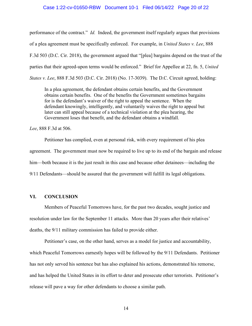#### Case 1:22-cv-01650-RBW Document 10-1 Filed 06/14/22 Page 20 of 22

performance of the contract." *Id.* Indeed, the government itself regularly argues that provisions of a plea agreement must be specifically enforced. For example, in *United States v. Lee*, 888 F.3d 503 (D.C. Cir. 2018), the government argued that "[plea] bargains depend on the trust of the parties that their agreed-upon terms would be enforced." Brief for Appellee at 22, fn. 5, *United States v. Lee*, 888 F.3d 503 (D.C. Cir. 2018) (No. 17-3039). The D.C. Circuit agreed, holding:

In a plea agreement, the defendant obtains certain benefits, and the Government obtains certain benefits. One of the benefits the Government sometimes bargains for is the defendant's waiver of the right to appeal the sentence. When the defendant knowingly, intelligently, and voluntarily waives the right to appeal but later can still appeal because of a technical violation at the plea hearing, the Government loses that benefit, and the defendant obtains a windfall.

*Lee*, 888 F.3d at 506.

Petitioner has complied, even at personal risk, with every requirement of his plea agreement. The government must now be required to live up to its end of the bargain and release him—both because it is the just result in this case and because other detainees—including the 9/11 Defendants—should be assured that the government will fulfill its legal obligations.

#### **VI. CONCLUSION**

Members of Peaceful Tomorrows have, for the past two decades, sought justice and resolution under law for the September 11 attacks. More than 20 years after their relatives' deaths, the 9/11 military commission has failed to provide either.

Petitioner's case, on the other hand, serves as a model for justice and accountability, which Peaceful Tomorrows earnestly hopes will be followed by the 9/11 Defendants. Petitioner has not only served his sentence but has also explained his actions, demonstrated his remorse, and has helped the United States in its effort to deter and prosecute other terrorists. Petitioner's release will pave a way for other defendants to choose a similar path.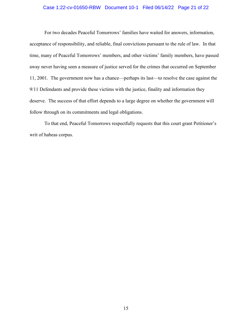# Case 1:22-cv-01650-RBW Document 10-1 Filed 06/14/22 Page 21 of 22

For two decades Peaceful Tomorrows' families have waited for answers, information, acceptance of responsibility, and reliable, final convictions pursuant to the rule of law. In that time, many of Peaceful Tomorrows' members, and other victims' family members, have passed away never having seen a measure of justice served for the crimes that occurred on September 11, 2001. The government now has a chance—perhaps its last—to resolve the case against the 9/11 Defendants and provide these victims with the justice, finality and information they deserve. The success of that effort depends to a large degree on whether the government will follow through on its commitments and legal obligations.

To that end, Peaceful Tomorrows respectfully requests that this court grant Petitioner's writ of habeas corpus.